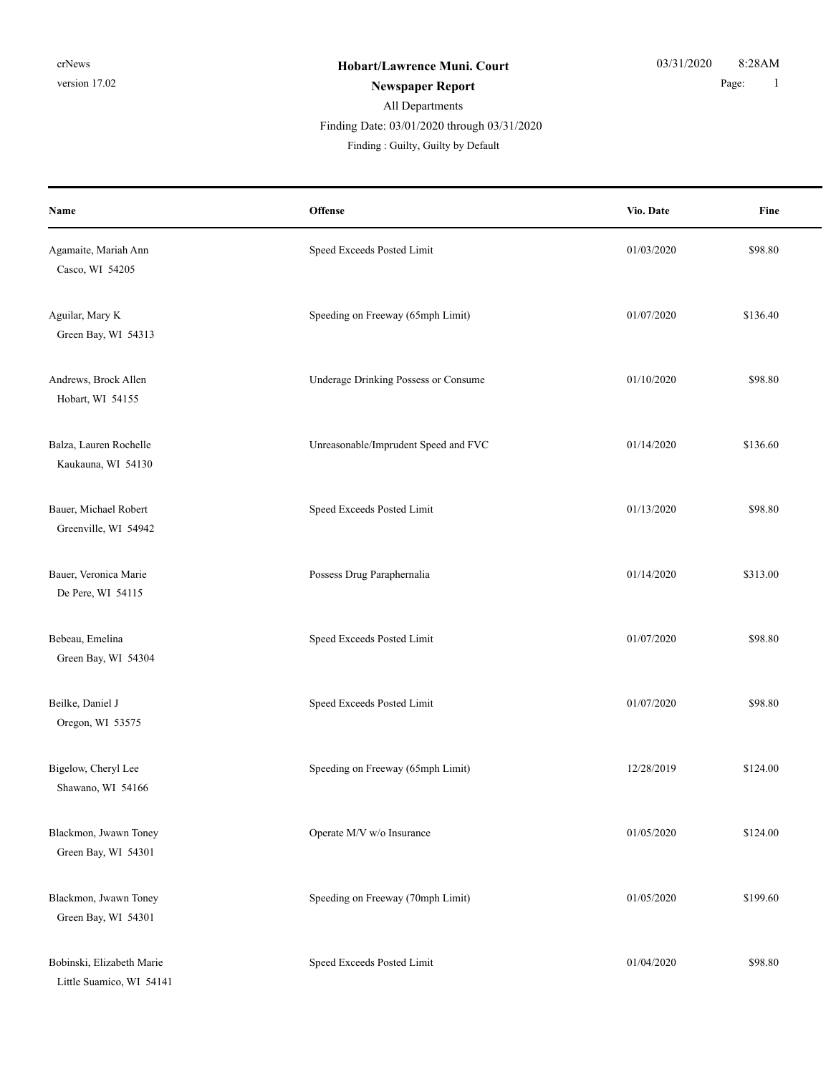# All Departments **Newspaper Report** 1 Finding Date: 03/01/2020 through 03/31/2020

| Name                                                  | Offense                              | Vio. Date  | Fine     |
|-------------------------------------------------------|--------------------------------------|------------|----------|
| Agamaite, Mariah Ann<br>Casco, WI 54205               | Speed Exceeds Posted Limit           | 01/03/2020 | \$98.80  |
| Aguilar, Mary K<br>Green Bay, WI 54313                | Speeding on Freeway (65mph Limit)    | 01/07/2020 | \$136.40 |
| Andrews, Brock Allen<br>Hobart, WI 54155              | Underage Drinking Possess or Consume | 01/10/2020 | \$98.80  |
| Balza, Lauren Rochelle<br>Kaukauna, WI 54130          | Unreasonable/Imprudent Speed and FVC | 01/14/2020 | \$136.60 |
| Bauer, Michael Robert<br>Greenville, WI 54942         | Speed Exceeds Posted Limit           | 01/13/2020 | \$98.80  |
| Bauer, Veronica Marie<br>De Pere, WI 54115            | Possess Drug Paraphernalia           | 01/14/2020 | \$313.00 |
| Bebeau, Emelina<br>Green Bay, WI 54304                | Speed Exceeds Posted Limit           | 01/07/2020 | \$98.80  |
| Beilke, Daniel J<br>Oregon, WI 53575                  | Speed Exceeds Posted Limit           | 01/07/2020 | \$98.80  |
| Bigelow, Cheryl Lee<br>Shawano, WI 54166              | Speeding on Freeway (65mph Limit)    | 12/28/2019 | \$124.00 |
| Blackmon, Jwawn Toney<br>Green Bay, WI 54301          | Operate M/V w/o Insurance            | 01/05/2020 | \$124.00 |
| Blackmon, Jwawn Toney<br>Green Bay, WI 54301          | Speeding on Freeway (70mph Limit)    | 01/05/2020 | \$199.60 |
| Bobinski, Elizabeth Marie<br>Little Suamico, WI 54141 | Speed Exceeds Posted Limit           | 01/04/2020 | \$98.80  |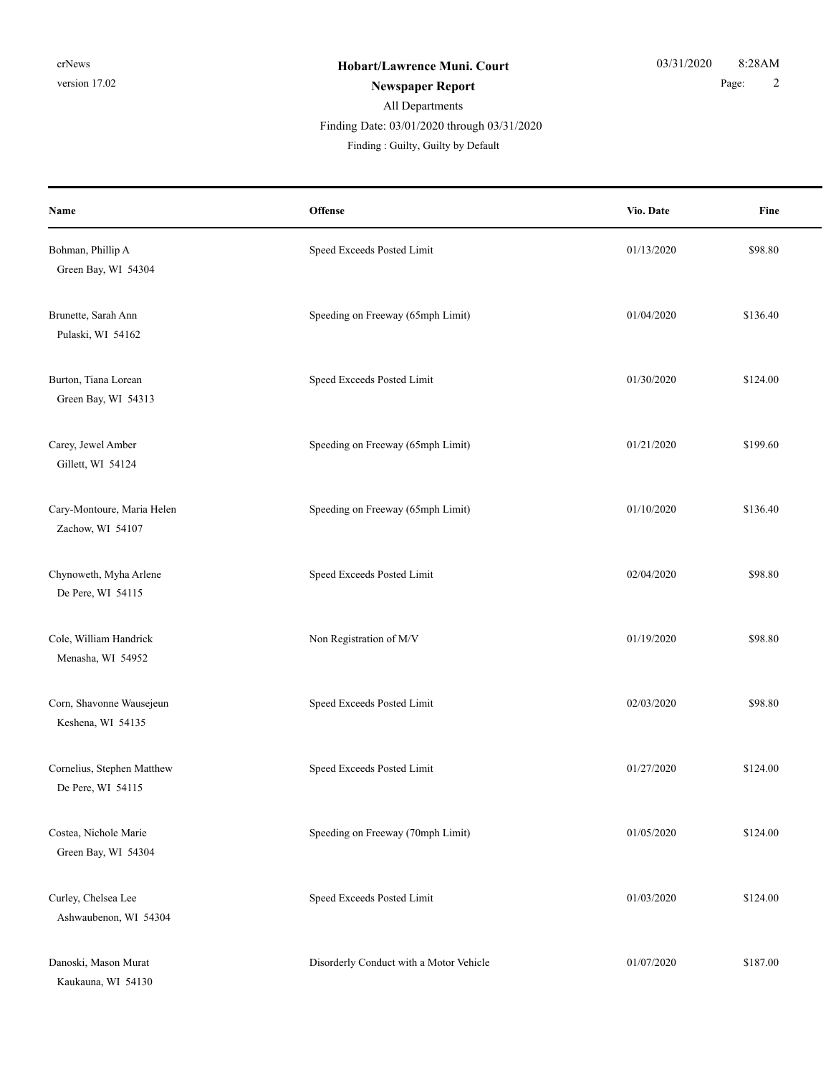## All Departments **Newspaper Report** 2 Finding Date: 03/01/2020 through 03/31/2020

| Name                                            | Offense                                 | Vio. Date  | Fine     |
|-------------------------------------------------|-----------------------------------------|------------|----------|
| Bohman, Phillip A<br>Green Bay, WI 54304        | Speed Exceeds Posted Limit              | 01/13/2020 | \$98.80  |
| Brunette, Sarah Ann<br>Pulaski, WI 54162        | Speeding on Freeway (65mph Limit)       | 01/04/2020 | \$136.40 |
| Burton, Tiana Lorean<br>Green Bay, WI 54313     | Speed Exceeds Posted Limit              | 01/30/2020 | \$124.00 |
| Carey, Jewel Amber<br>Gillett, WI 54124         | Speeding on Freeway (65mph Limit)       | 01/21/2020 | \$199.60 |
| Cary-Montoure, Maria Helen<br>Zachow, WI 54107  | Speeding on Freeway (65mph Limit)       | 01/10/2020 | \$136.40 |
| Chynoweth, Myha Arlene<br>De Pere, WI 54115     | Speed Exceeds Posted Limit              | 02/04/2020 | \$98.80  |
| Cole, William Handrick<br>Menasha, WI 54952     | Non Registration of M/V                 | 01/19/2020 | \$98.80  |
| Corn, Shavonne Wausejeun<br>Keshena, WI 54135   | Speed Exceeds Posted Limit              | 02/03/2020 | \$98.80  |
| Cornelius, Stephen Matthew<br>De Pere, WI 54115 | Speed Exceeds Posted Limit              | 01/27/2020 | \$124.00 |
| Costea, Nichole Marie<br>Green Bay, WI 54304    | Speeding on Freeway (70mph Limit)       | 01/05/2020 | \$124.00 |
| Curley, Chelsea Lee<br>Ashwaubenon, WI 54304    | Speed Exceeds Posted Limit              | 01/03/2020 | \$124.00 |
| Danoski, Mason Murat<br>Kaukauna, WI 54130      | Disorderly Conduct with a Motor Vehicle | 01/07/2020 | \$187.00 |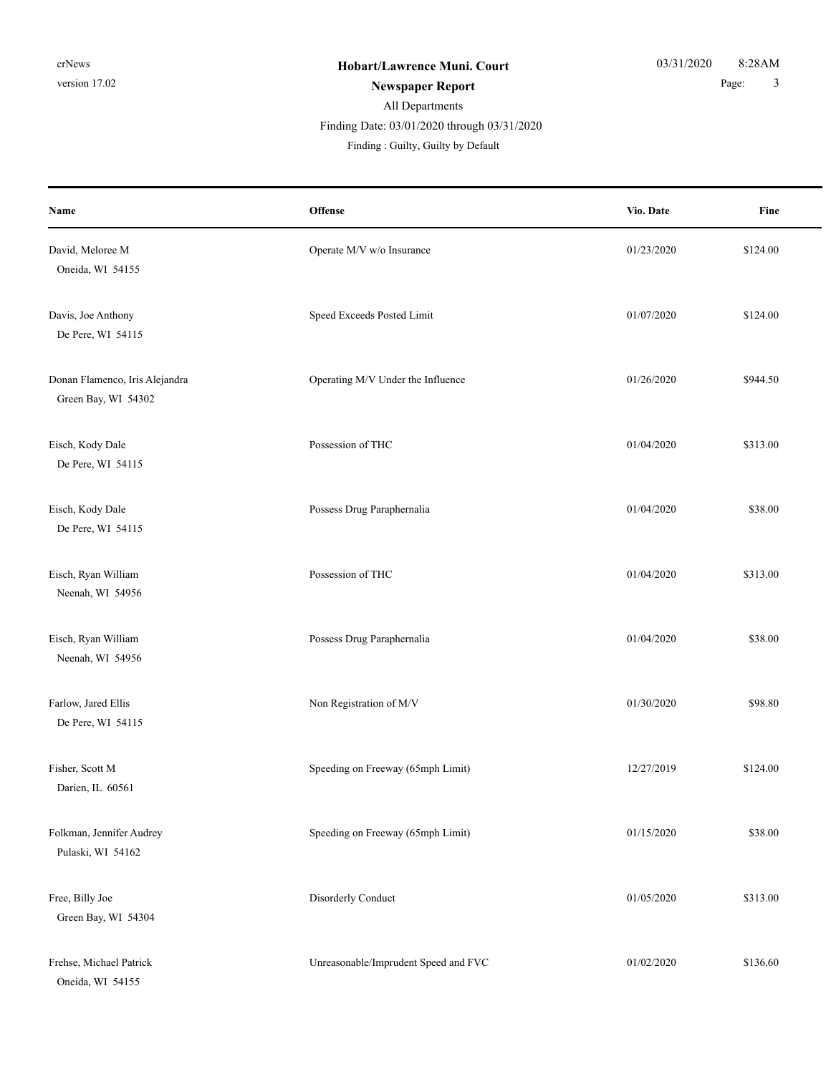### All Departments **Newspaper Report** 2 and 2 and 2 and 2 and 2 and 2 and 3 and 3 and 3 and 3 and 3 and 3 and 3 and 3 and 3 and 3 and 3 and 3 and 3 and 3 and 3 and 3 and 3 and 3 and 3 and 3 and 3 and 3 and 3 and 3 and 3 and 3 and 3 and 3 and

Finding Date: 03/01/2020 through 03/31/2020

| Name                                                  | <b>Offense</b>                       | Vio. Date  | Fine     |
|-------------------------------------------------------|--------------------------------------|------------|----------|
| David, Meloree M<br>Oneida, WI 54155                  | Operate M/V w/o Insurance            | 01/23/2020 | \$124.00 |
| Davis, Joe Anthony<br>De Pere, WI 54115               | Speed Exceeds Posted Limit           | 01/07/2020 | \$124.00 |
| Donan Flamenco, Iris Alejandra<br>Green Bay, WI 54302 | Operating M/V Under the Influence    | 01/26/2020 | \$944.50 |
| Eisch, Kody Dale<br>De Pere, WI 54115                 | Possession of THC                    | 01/04/2020 | \$313.00 |
| Eisch, Kody Dale<br>De Pere, WI 54115                 | Possess Drug Paraphernalia           | 01/04/2020 | \$38.00  |
| Eisch, Ryan William<br>Neenah, WI 54956               | Possession of THC                    | 01/04/2020 | \$313.00 |
| Eisch, Ryan William<br>Neenah, WI 54956               | Possess Drug Paraphernalia           | 01/04/2020 | \$38.00  |
| Farlow, Jared Ellis<br>De Pere, WI 54115              | Non Registration of M/V              | 01/30/2020 | \$98.80  |
| Fisher, Scott M<br>Darien, IL 60561                   | Speeding on Freeway (65mph Limit)    | 12/27/2019 | \$124.00 |
| Folkman, Jennifer Audrey<br>Pulaski, WI 54162         | Speeding on Freeway (65mph Limit)    | 01/15/2020 | \$38.00  |
| Free, Billy Joe<br>Green Bay, WI 54304                | Disorderly Conduct                   | 01/05/2020 | \$313.00 |
| Frehse, Michael Patrick<br>Oneida, WI 54155           | Unreasonable/Imprudent Speed and FVC | 01/02/2020 | \$136.60 |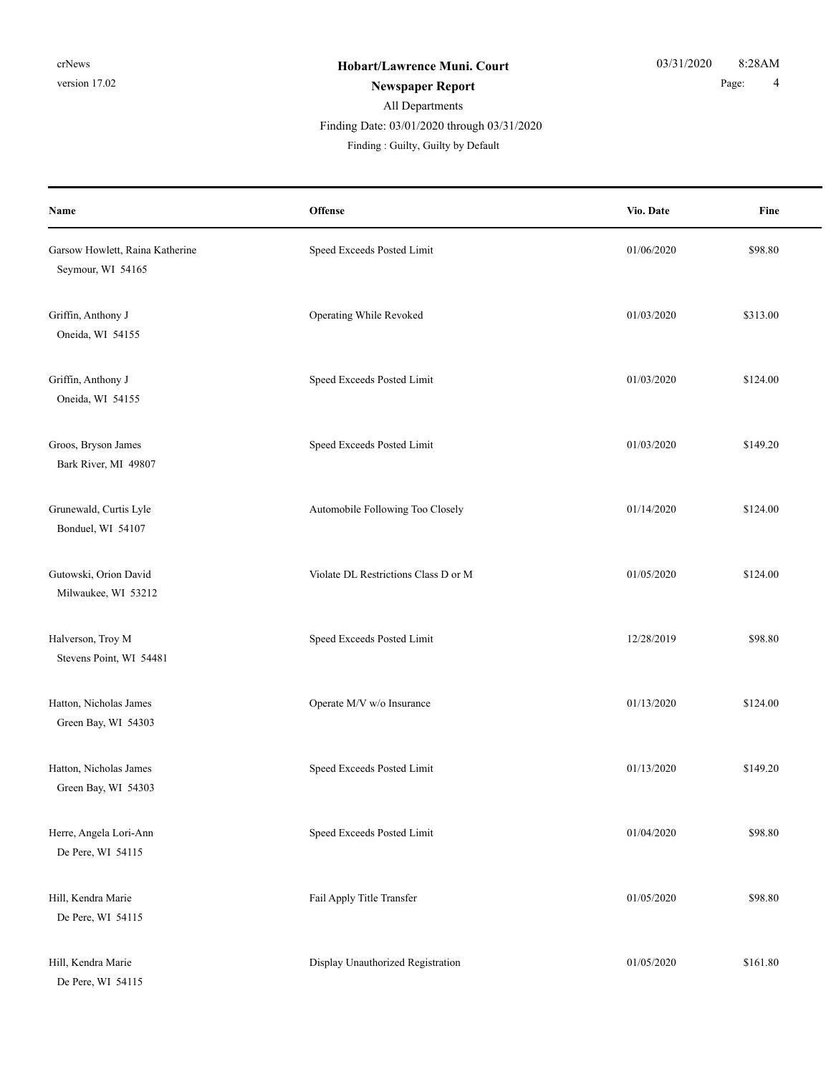# All Departments **Newspaper Report** 2 and 2 and 2 and 2 and 2 and 2 and 2 and 2 and 2 and 2 and 2 and 2 and 2 and 2 and 2 and 2 and 2 and 2 and 2 and 2 and 2 and 2 and 2 and 2 and 2 and 2 and 2 and 2 and 2 and 2 and 2 and 2 and 2 and 2 and Finding Date: 03/01/2020 through 03/31/2020

| Name                                                 | Offense                              | Vio. Date  | Fine     |
|------------------------------------------------------|--------------------------------------|------------|----------|
| Garsow Howlett, Raina Katherine<br>Seymour, WI 54165 | Speed Exceeds Posted Limit           | 01/06/2020 | \$98.80  |
| Griffin, Anthony J<br>Oneida, WI 54155               | Operating While Revoked              | 01/03/2020 | \$313.00 |
| Griffin, Anthony J<br>Oneida, WI 54155               | Speed Exceeds Posted Limit           | 01/03/2020 | \$124.00 |
| Groos, Bryson James<br>Bark River, MI 49807          | Speed Exceeds Posted Limit           | 01/03/2020 | \$149.20 |
| Grunewald, Curtis Lyle<br>Bonduel, WI 54107          | Automobile Following Too Closely     | 01/14/2020 | \$124.00 |
| Gutowski, Orion David<br>Milwaukee, WI 53212         | Violate DL Restrictions Class D or M | 01/05/2020 | \$124.00 |
| Halverson, Troy M<br>Stevens Point, WI 54481         | Speed Exceeds Posted Limit           | 12/28/2019 | \$98.80  |
| Hatton, Nicholas James<br>Green Bay, WI 54303        | Operate M/V w/o Insurance            | 01/13/2020 | \$124.00 |
| Hatton, Nicholas James<br>Green Bay, WI 54303        | Speed Exceeds Posted Limit           | 01/13/2020 | \$149.20 |
| Herre, Angela Lori-Ann<br>De Pere, WI 54115          | Speed Exceeds Posted Limit           | 01/04/2020 | \$98.80  |
| Hill, Kendra Marie<br>De Pere, WI 54115              | Fail Apply Title Transfer            | 01/05/2020 | \$98.80  |
| Hill, Kendra Marie<br>De Pere, WI 54115              | Display Unauthorized Registration    | 01/05/2020 | \$161.80 |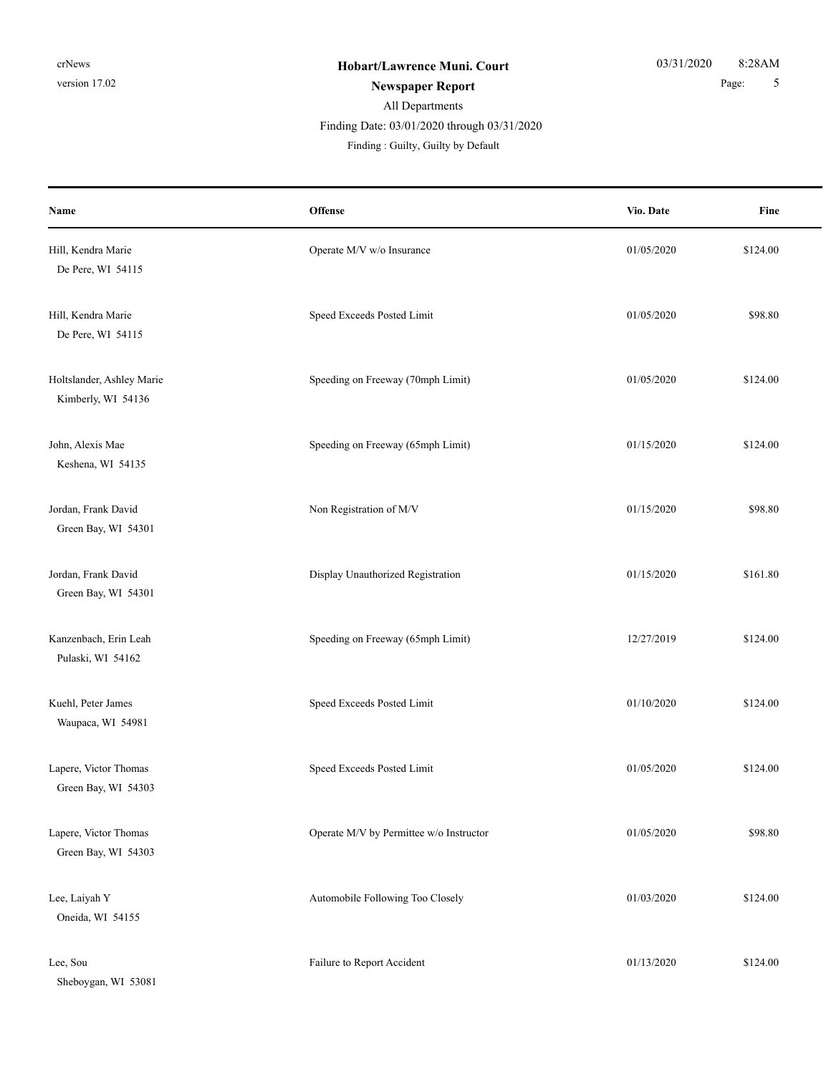# All Departments **Newspaper Report** 5

Finding Date: 03/01/2020 through 03/31/2020

| Name                                            | <b>Offense</b>                          | Vio. Date  | Fine     |
|-------------------------------------------------|-----------------------------------------|------------|----------|
| Hill, Kendra Marie<br>De Pere, WI 54115         | Operate M/V w/o Insurance               | 01/05/2020 | \$124.00 |
| Hill, Kendra Marie<br>De Pere, WI 54115         | Speed Exceeds Posted Limit              | 01/05/2020 | \$98.80  |
| Holtslander, Ashley Marie<br>Kimberly, WI 54136 | Speeding on Freeway (70mph Limit)       | 01/05/2020 | \$124.00 |
| John, Alexis Mae<br>Keshena, WI 54135           | Speeding on Freeway (65mph Limit)       | 01/15/2020 | \$124.00 |
| Jordan, Frank David<br>Green Bay, WI 54301      | Non Registration of M/V                 | 01/15/2020 | \$98.80  |
| Jordan, Frank David<br>Green Bay, WI 54301      | Display Unauthorized Registration       | 01/15/2020 | \$161.80 |
| Kanzenbach, Erin Leah<br>Pulaski, WI 54162      | Speeding on Freeway (65mph Limit)       | 12/27/2019 | \$124.00 |
| Kuehl, Peter James<br>Waupaca, WI 54981         | Speed Exceeds Posted Limit              | 01/10/2020 | \$124.00 |
| Lapere, Victor Thomas<br>Green Bay, WI 54303    | Speed Exceeds Posted Limit              | 01/05/2020 | \$124.00 |
| Lapere, Victor Thomas<br>Green Bay, WI 54303    | Operate M/V by Permittee w/o Instructor | 01/05/2020 | \$98.80  |
| Lee, Laiyah Y<br>Oneida, WI 54155               | Automobile Following Too Closely        | 01/03/2020 | \$124.00 |
| Lee, Sou<br>Sheboygan, WI 53081                 | Failure to Report Accident              | 01/13/2020 | \$124.00 |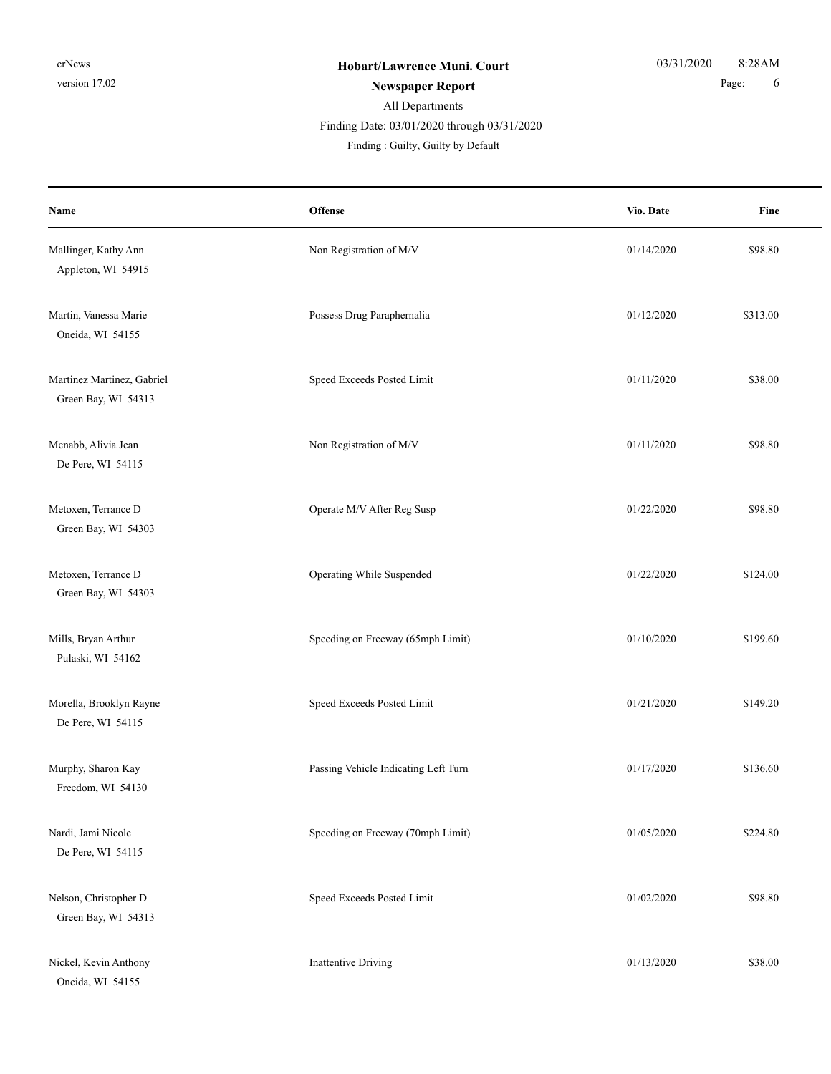# All Departments **Newspaper Report** 6 **Page:** 6 Finding Date: 03/01/2020 through 03/31/2020

| Name                                              | Offense                              | Vio. Date  | Fine     |
|---------------------------------------------------|--------------------------------------|------------|----------|
| Mallinger, Kathy Ann<br>Appleton, WI 54915        | Non Registration of M/V              | 01/14/2020 | \$98.80  |
| Martin, Vanessa Marie<br>Oneida, WI 54155         | Possess Drug Paraphernalia           | 01/12/2020 | \$313.00 |
| Martinez Martinez, Gabriel<br>Green Bay, WI 54313 | Speed Exceeds Posted Limit           | 01/11/2020 | \$38.00  |
| Mcnabb, Alivia Jean<br>De Pere, WI 54115          | Non Registration of M/V              | 01/11/2020 | \$98.80  |
| Metoxen, Terrance D<br>Green Bay, WI 54303        | Operate M/V After Reg Susp           | 01/22/2020 | \$98.80  |
| Metoxen, Terrance D<br>Green Bay, WI 54303        | Operating While Suspended            | 01/22/2020 | \$124.00 |
| Mills, Bryan Arthur<br>Pulaski, WI 54162          | Speeding on Freeway (65mph Limit)    | 01/10/2020 | \$199.60 |
| Morella, Brooklyn Rayne<br>De Pere, WI 54115      | Speed Exceeds Posted Limit           | 01/21/2020 | \$149.20 |
| Murphy, Sharon Kay<br>Freedom, WI 54130           | Passing Vehicle Indicating Left Turn | 01/17/2020 | \$136.60 |
| Nardi, Jami Nicole<br>De Pere, WI 54115           | Speeding on Freeway (70mph Limit)    | 01/05/2020 | \$224.80 |
| Nelson, Christopher D<br>Green Bay, WI 54313      | Speed Exceeds Posted Limit           | 01/02/2020 | \$98.80  |
| Nickel, Kevin Anthony<br>Oneida, WI 54155         | <b>Inattentive Driving</b>           | 01/13/2020 | \$38.00  |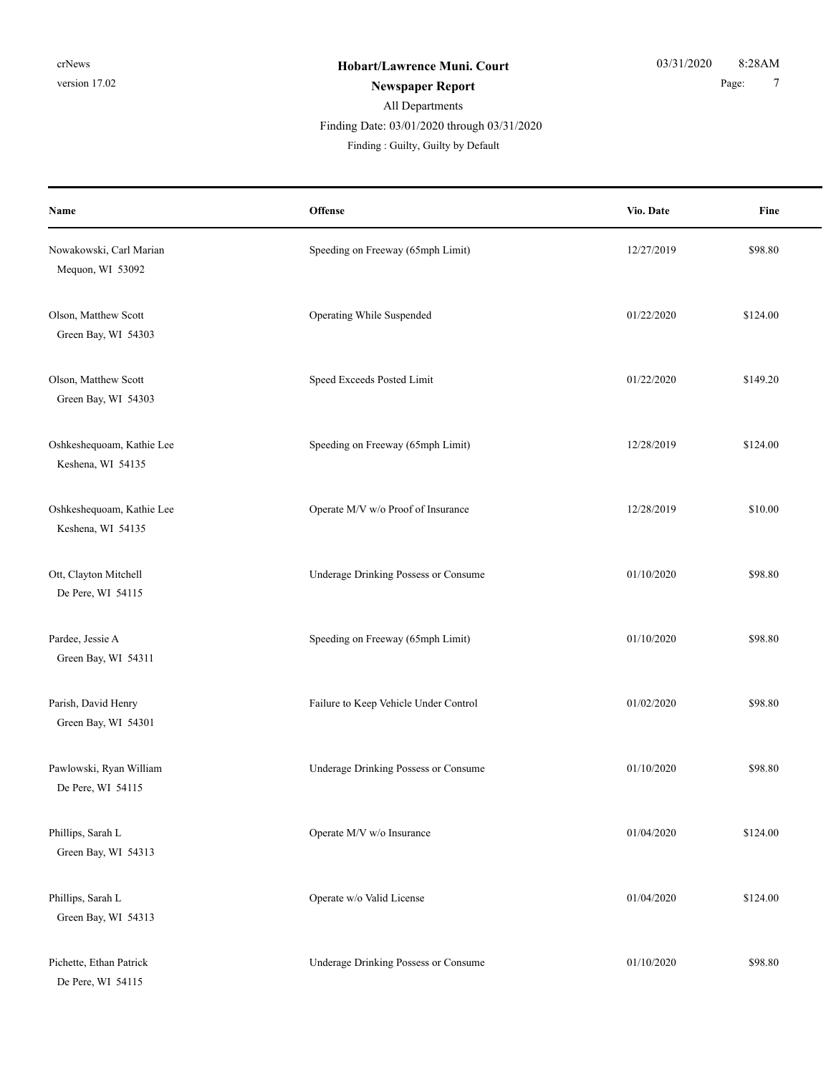# All Departments **Newspaper Report** 7 Finding Date: 03/01/2020 through 03/31/2020

| Name                                           | Offense                               | Vio. Date  | Fine     |
|------------------------------------------------|---------------------------------------|------------|----------|
| Nowakowski, Carl Marian<br>Mequon, WI 53092    | Speeding on Freeway (65mph Limit)     | 12/27/2019 | \$98.80  |
| Olson, Matthew Scott<br>Green Bay, WI 54303    | Operating While Suspended             | 01/22/2020 | \$124.00 |
| Olson, Matthew Scott<br>Green Bay, WI 54303    | Speed Exceeds Posted Limit            | 01/22/2020 | \$149.20 |
| Oshkeshequoam, Kathie Lee<br>Keshena, WI 54135 | Speeding on Freeway (65mph Limit)     | 12/28/2019 | \$124.00 |
| Oshkeshequoam, Kathie Lee<br>Keshena, WI 54135 | Operate M/V w/o Proof of Insurance    | 12/28/2019 | \$10.00  |
| Ott, Clayton Mitchell<br>De Pere, WI 54115     | Underage Drinking Possess or Consume  | 01/10/2020 | \$98.80  |
| Pardee, Jessie A<br>Green Bay, WI 54311        | Speeding on Freeway (65mph Limit)     | 01/10/2020 | \$98.80  |
| Parish, David Henry<br>Green Bay, WI 54301     | Failure to Keep Vehicle Under Control | 01/02/2020 | \$98.80  |
| Pawlowski, Ryan William<br>De Pere, WI 54115   | Underage Drinking Possess or Consume  | 01/10/2020 | \$98.80  |
| Phillips, Sarah L<br>Green Bay, WI 54313       | Operate M/V w/o Insurance             | 01/04/2020 | \$124.00 |
| Phillips, Sarah L<br>Green Bay, WI 54313       | Operate w/o Valid License             | 01/04/2020 | \$124.00 |
| Pichette, Ethan Patrick<br>De Pere, WI 54115   | Underage Drinking Possess or Consume  | 01/10/2020 | \$98.80  |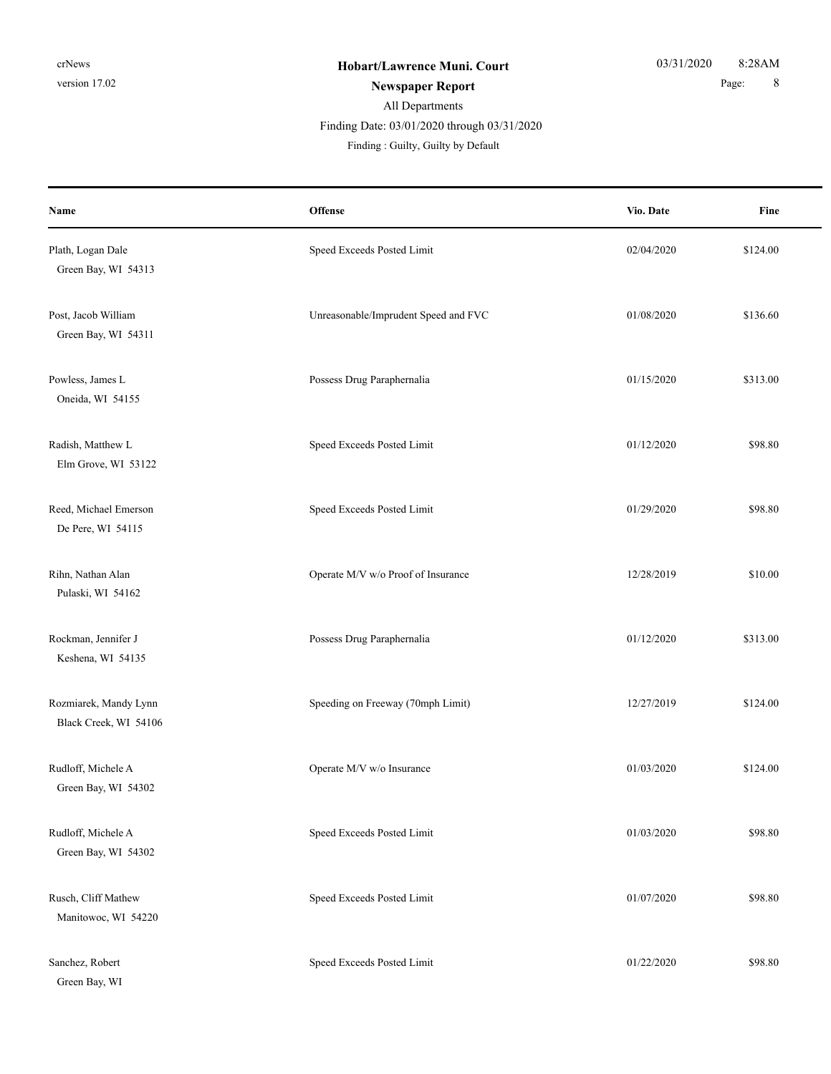# All Departments **Newspaper Report** 8 Finding Date: 03/01/2020 through 03/31/2020

| Name                                           | <b>Offense</b>                       | Vio. Date  | Fine     |
|------------------------------------------------|--------------------------------------|------------|----------|
| Plath, Logan Dale<br>Green Bay, WI 54313       | Speed Exceeds Posted Limit           | 02/04/2020 | \$124.00 |
| Post, Jacob William<br>Green Bay, WI 54311     | Unreasonable/Imprudent Speed and FVC | 01/08/2020 | \$136.60 |
| Powless, James L<br>Oneida, WI 54155           | Possess Drug Paraphernalia           | 01/15/2020 | \$313.00 |
| Radish, Matthew L<br>Elm Grove, WI 53122       | Speed Exceeds Posted Limit           | 01/12/2020 | \$98.80  |
| Reed, Michael Emerson<br>De Pere, WI 54115     | Speed Exceeds Posted Limit           | 01/29/2020 | \$98.80  |
| Rihn, Nathan Alan<br>Pulaski, WI 54162         | Operate M/V w/o Proof of Insurance   | 12/28/2019 | \$10.00  |
| Rockman, Jennifer J<br>Keshena, WI 54135       | Possess Drug Paraphernalia           | 01/12/2020 | \$313.00 |
| Rozmiarek, Mandy Lynn<br>Black Creek, WI 54106 | Speeding on Freeway (70mph Limit)    | 12/27/2019 | \$124.00 |
| Rudloff, Michele A<br>Green Bay, WI 54302      | Operate M/V w/o Insurance            | 01/03/2020 | \$124.00 |
| Rudloff, Michele A<br>Green Bay, WI 54302      | Speed Exceeds Posted Limit           | 01/03/2020 | \$98.80  |
| Rusch, Cliff Mathew<br>Manitowoc, WI 54220     | Speed Exceeds Posted Limit           | 01/07/2020 | \$98.80  |
| Sanchez, Robert<br>Green Bay, WI               | Speed Exceeds Posted Limit           | 01/22/2020 | \$98.80  |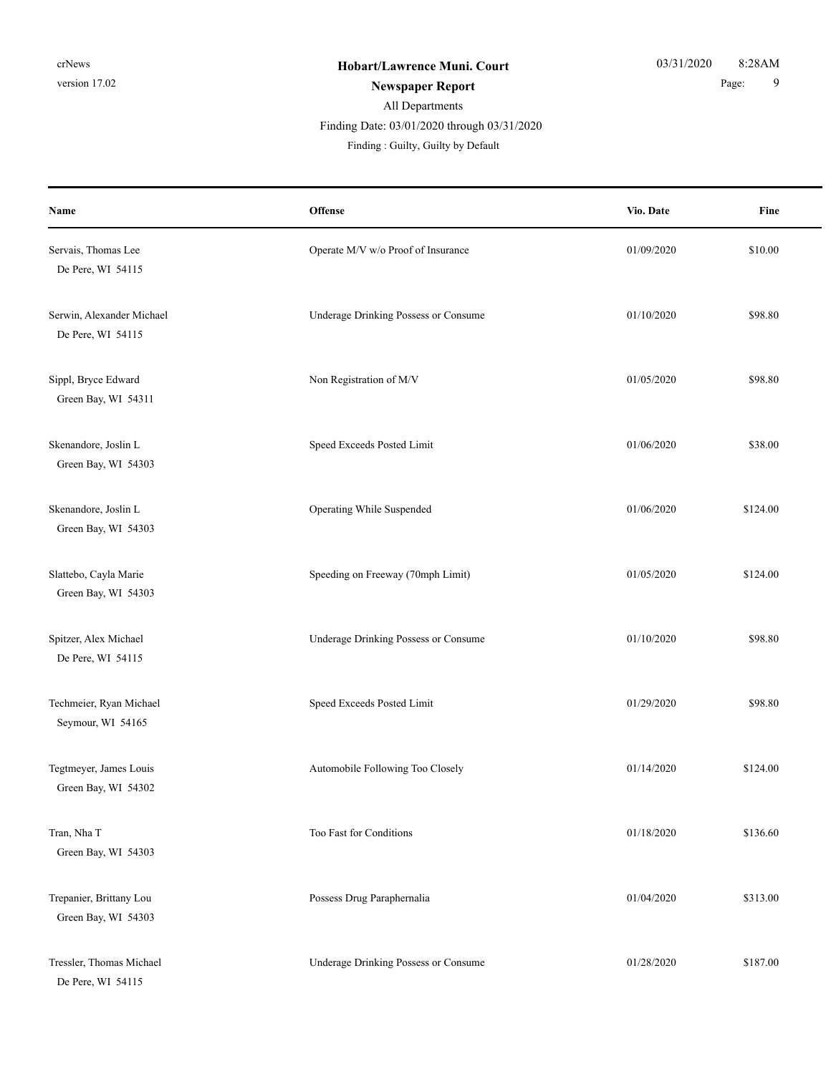**Name**

#### All Departments **Newspaper Report** 9 Finding : Guilty, Guilty by Default Finding Date: 03/01/2020 through 03/31/2020

**Offense** Fine **Vio. Date** Servais, Thomas Lee Servais, Thomas Lee Servais, Thomas Lee Servais, Thomas Lee Servais, Thomas Lee Servais, Thomas Lee Servais, Thomas Lee Servais, 20109/2020 \$10.00 De Pere, WI 54115 Serwin, Alexander Michael **Serwin**, Alexander Michael **Serwin**, Alexander Michael **Serwin**, Alexander Michael **\$98.80** De Pere, WI 54115 Sippl, Bryce Edward States and Non Registration of M/V 01/05/2020 \$98.80 Green Bay, WI 54311 Skenandore, Joslin L Speed Exceeds Posted Limit 01/06/2020 \$38.00 Green Bay, WI 54303 Skenandore, Joslin L Company Company Company United Suspended 01/06/2020 \$124.00 Green Bay, WI 54303 Slattebo, Cayla Marie Speeding on Freeway (70mph Limit) 01/05/2020 \$124.00 Green Bay, WI 54303 Spitzer, Alex Michael Underage Drinking Possess or Consume 01/10/2020 \$98.80 De Pere, WI 54115

Techmeier, Ryan Michael Speed Exceeds Posted Limit 01/29/2020 \$98.80 Seymour, WI 54165

Green Bay, WI 54302

Green Bay, WI 54303

Green Bay, WI 54303

De Pere, WI 54115

Tegtmeyer, James Louis **Automobile Following Too Closely** 01/14/2020 8124.00

Tran, Nha T Tran, Nha T 5136.60 Trepanier, Brittany Lou **Possess Drug Paraphernalia** 01/04/2020 \$313.00 Tressler, Thomas Michael Consume Underage Drinking Possess or Consume 01/28/2020 \$187.00